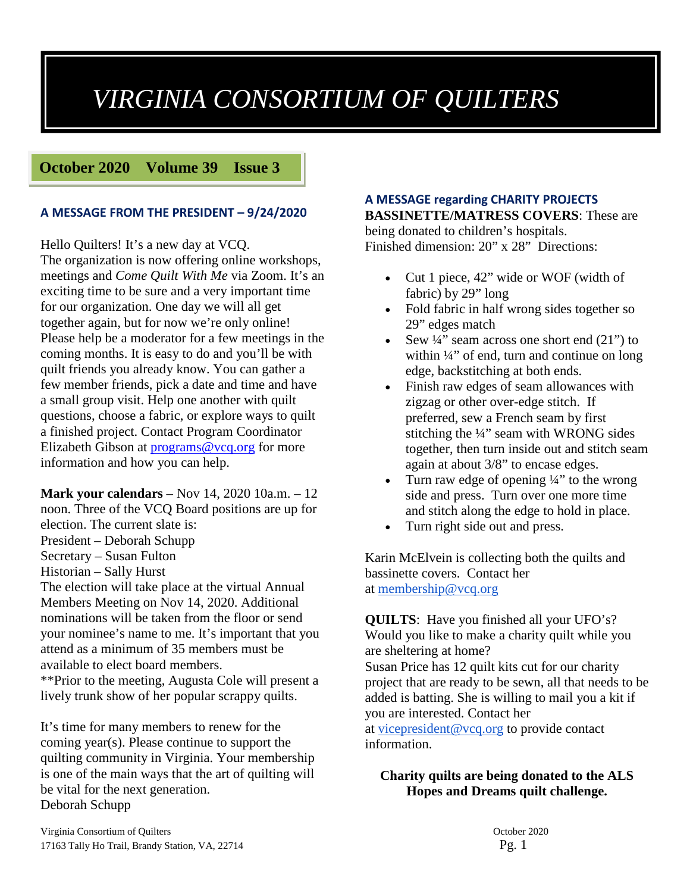# *VIRGINIA CONSORTIUM OF QUILTERS*

**October 2020 Volume 39 Issue 3** 

### **A MESSAGE FROM THE PRESIDENT – 9/24/2020**

Hello Quilters! It's a new day at VCQ.

The organization is now offering online workshops, meetings and *Come Quilt With Me* via Zoom. It's an exciting time to be sure and a very important time for our organization. One day we will all get together again, but for now we're only online! Please help be a moderator for a few meetings in the coming months. It is easy to do and you'll be with quilt friends you already know. You can gather a few member friends, pick a date and time and have a small group visit. Help one another with quilt questions, choose a fabric, or explore ways to quilt a finished project. Contact Program Coordinator Elizabeth Gibson at [programs@vcq.org](mailto:programs@vcq.org) for more information and how you can help.

**Mark your calendars** – Nov 14, 2020 10a.m. – 12 noon. Three of the VCQ Board positions are up for election. The current slate is: President – Deborah Schupp Secretary – Susan Fulton Historian – Sally Hurst The election will take place at the virtual Annual Members Meeting on Nov 14, 2020. Additional nominations will be taken from the floor or send your nominee's name to me. It's important that you attend as a minimum of 35 members must be

available to elect board members.

\*\*Prior to the meeting, Augusta Cole will present a lively trunk show of her popular scrappy quilts.

It's time for many members to renew for the coming year(s). Please continue to support the quilting community in Virginia. Your membership is one of the main ways that the art of quilting will be vital for the next generation. Deborah Schupp

### **A MESSAGE regarding CHARITY PROJECTS**

**BASSINETTE/MATRESS COVERS**: These are being donated to children's hospitals. Finished dimension: 20" x 28" Directions:

- Cut 1 piece, 42" wide or WOF (width of fabric) by 29" long
- Fold fabric in half wrong sides together so 29" edges match
- Sew  $\frac{1}{4}$ " seam across one short end (21") to within  $\frac{1}{4}$ " of end, turn and continue on long edge, backstitching at both ends.
- Finish raw edges of seam allowances with zigzag or other over-edge stitch. If preferred, sew a French seam by first stitching the ¼" seam with WRONG sides together, then turn inside out and stitch seam again at about 3/8" to encase edges.
- Turn raw edge of opening  $\frac{1}{4}$  to the wrong side and press. Turn over one more time and stitch along the edge to hold in place.
- Turn right side out and press.

Karin McElvein is collecting both the quilts and bassinette covers. Contact her at [membership@vcq.org](mailto:membership@vcq.org)

**QUILTS**: Have you finished all your UFO's? Would you like to make a charity quilt while you are sheltering at home? Susan Price has 12 quilt kits cut for our charity project that are ready to be sewn, all that needs to be added is batting. She is willing to mail you a kit if you are interested. Contact her at [vicepresident@vcq.org](mailto:vicepresident@vcq.org) to provide contact information.

**Charity quilts are being donated to the ALS Hopes and Dreams quilt challenge.**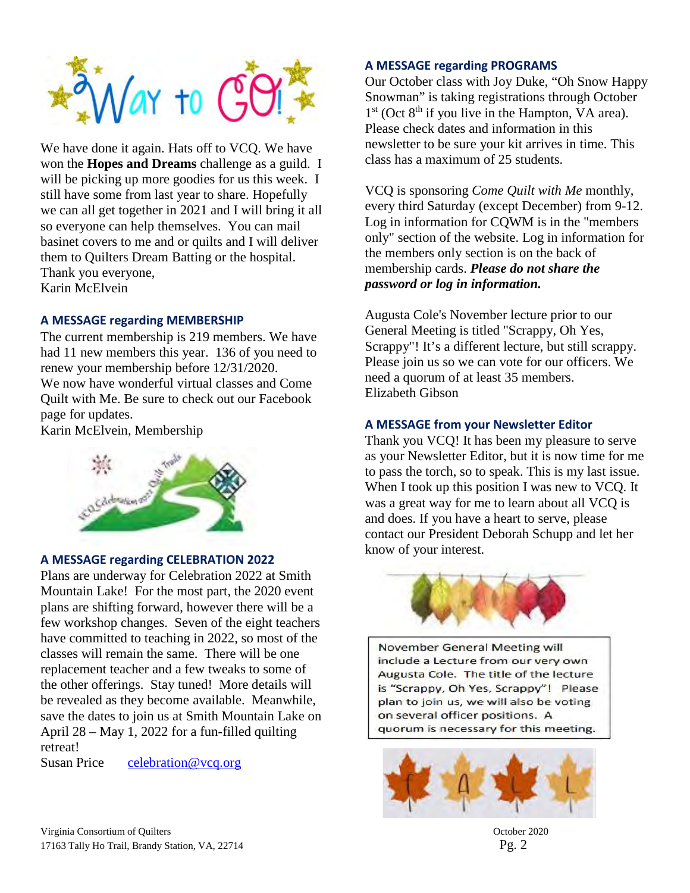

We have done it again. Hats off to VCQ. We have won the **Hopes and Dreams** challenge as a guild. I will be picking up more goodies for us this week. I still have some from last year to share. Hopefully we can all get together in 2021 and I will bring it all so everyone can help themselves. You can mail basinet covers to me and or quilts and I will deliver them to Quilters Dream Batting or the hospital. Thank you everyone, Karin McElvein

#### **A MESSAGE regarding MEMBERSHIP**

The current membership is 219 members. We have had 11 new members this year. 136 of you need to renew your membership before 12/31/2020. We now have wonderful virtual classes and Come Quilt with Me. Be sure to check out our Facebook page for updates.

Karin McElvein, Membership



#### **A MESSAGE regarding CELEBRATION 2022**

Plans are underway for Celebration 2022 at Smith Mountain Lake! For the most part, the 2020 event plans are shifting forward, however there will be a few workshop changes. Seven of the eight teachers have committed to teaching in 2022, so most of the classes will remain the same. There will be one replacement teacher and a few tweaks to some of the other offerings. Stay tuned! More details will be revealed as they become available. Meanwhile, save the dates to join us at Smith Mountain Lake on April 28 – May 1, 2022 for a fun-filled quilting retreat!

Susan Price celebration@vcq.org

#### **A MESSAGE regarding PROGRAMS**

Our October class with Joy Duke, "Oh Snow Happy Snowman" is taking registrations through October  $1<sup>st</sup>$  (Oct  $8<sup>th</sup>$  if you live in the Hampton, VA area). Please check dates and information in this newsletter to be sure your kit arrives in time. This class has a maximum of 25 students.

VCQ is sponsoring *Come Quilt with Me* monthly, every third Saturday (except December) from 9-12. Log in information for CQWM is in the "members only" section of the website. Log in information for the members only section is on the back of membership cards. *Please do not share the password or log in information.*

Augusta Cole's November lecture prior to our General Meeting is titled "Scrappy, Oh Yes, Scrappy"! It's a different lecture, but still scrappy. Please join us so we can vote for our officers. We need a quorum of at least 35 members. Elizabeth Gibson

#### **A MESSAGE from your Newsletter Editor**

Thank you VCQ! It has been my pleasure to serve as your Newsletter Editor, but it is now time for me to pass the torch, so to speak. This is my last issue. When I took up this position I was new to VCQ. It was a great way for me to learn about all VCQ is and does. If you have a heart to serve, please contact our President Deborah Schupp and let her know of your interest.



**November General Meeting will** include a Lecture from our very own Augusta Cole. The title of the lecture is "Scrappy, Oh Yes, Scrappy"! Please plan to join us, we will also be voting on several officer positions. A quorum is necessary for this meeting.

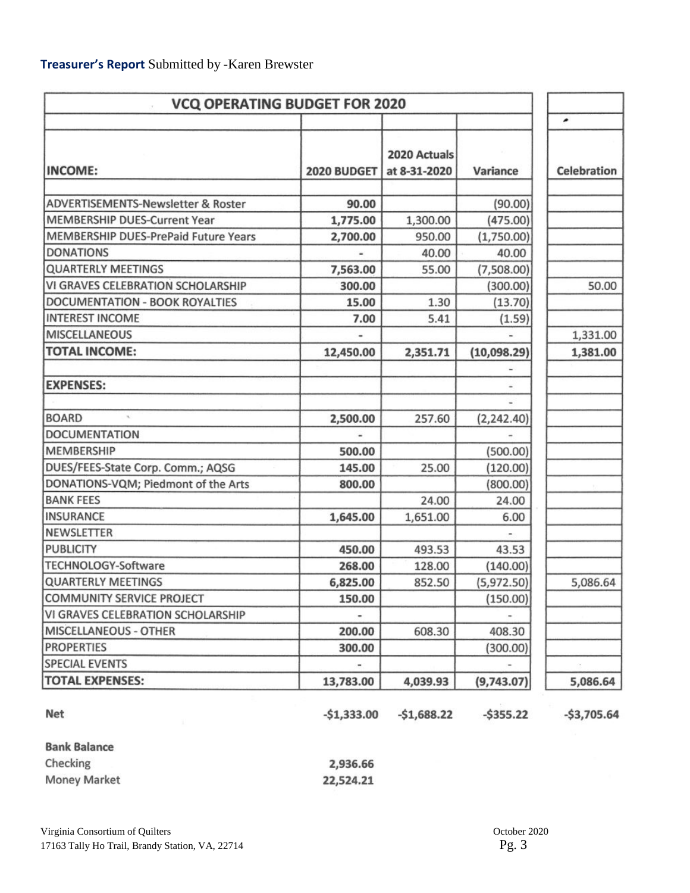| <b>VCQ OPERATING BUDGET FOR 2020</b>          |              |                              |                     |                    |
|-----------------------------------------------|--------------|------------------------------|---------------------|--------------------|
|                                               |              |                              |                     | ∙                  |
| <b>INCOME:</b>                                | 2020 BUDGET  | 2020 Actuals<br>at 8-31-2020 | Variance            | <b>Celebration</b> |
| <b>ADVERTISEMENTS-Newsletter &amp; Roster</b> | 90.00        |                              |                     |                    |
| <b>MEMBERSHIP DUES-Current Year</b>           |              |                              | (90.00)             |                    |
| MEMBERSHIP DUES-PrePaid Future Years          | 1,775.00     | 1,300.00<br>950.00           | (475.00)            |                    |
| <b>DONATIONS</b>                              | 2,700.00     | 40.00                        | (1,750.00)<br>40.00 |                    |
|                                               |              |                              |                     |                    |
| <b>QUARTERLY MEETINGS</b>                     | 7,563.00     | 55.00                        | (7,508.00)          |                    |
| VI GRAVES CELEBRATION SCHOLARSHIP             | 300.00       |                              | (300.00)            | 50.00              |
| <b>DOCUMENTATION - BOOK ROYALTIES</b>         | 15.00        | 1.30                         | (13.70)             |                    |
| <b>INTEREST INCOME</b>                        | 7.00         | 5.41                         | (1.59)              |                    |
| <b>MISCELLANEOUS</b>                          |              |                              |                     | 1,331.00           |
| <b>TOTAL INCOME:</b>                          | 12,450.00    | 2,351.71                     | (10,098.29)         | 1,381.00           |
|                                               |              |                              |                     |                    |
| <b>EXPENSES:</b>                              |              |                              |                     |                    |
|                                               |              |                              |                     |                    |
| <b>BOARD</b>                                  | 2,500.00     | 257.60                       | (2, 242.40)         |                    |
| <b>DOCUMENTATION</b>                          |              |                              |                     |                    |
| <b>MEMBERSHIP</b>                             | 500.00       |                              | (500.00)            |                    |
| DUES/FEES-State Corp. Comm.; AQSG             | 145.00       | 25.00                        | (120.00)            |                    |
| DONATIONS-VQM; Piedmont of the Arts           | 800.00       |                              | (800.00)            |                    |
| <b>BANK FEES</b>                              |              | 24.00                        | 24.00               |                    |
| <b>INSURANCE</b>                              | 1,645.00     | 1,651.00                     | 6.00                |                    |
| <b>NEWSLETTER</b>                             |              |                              |                     |                    |
| <b>PUBLICITY</b>                              | 450.00       | 493.53                       | 43.53               |                    |
| <b>TECHNOLOGY-Software</b>                    | 268.00       | 128.00                       | (140.00)            |                    |
| <b>QUARTERLY MEETINGS</b>                     | 6,825.00     | 852.50                       | (5,972.50)          | 5,086.64           |
| <b>COMMUNITY SERVICE PROJECT</b>              | 150.00       |                              | (150.00)            |                    |
| VI GRAVES CELEBRATION SCHOLARSHIP             |              |                              |                     |                    |
| <b>MISCELLANEOUS - OTHER</b>                  | 200.00       | 608.30                       | 408.30              |                    |
| <b>PROPERTIES</b>                             | 300.00       |                              | (300.00)            |                    |
| <b>SPECIAL EVENTS</b>                         |              |                              |                     |                    |
| <b>TOTAL EXPENSES:</b>                        | 13,783.00    | 4,039.93                     | (9,743.07)          | 5,086.64           |
| Net                                           | $-$1,333.00$ | $-$1,688.22$                 | $-5355.22$          | $-53,705.64$       |

**Bank Balance** 

| Checking            | 2,936.66  |
|---------------------|-----------|
| <b>Money Market</b> | 22,524.21 |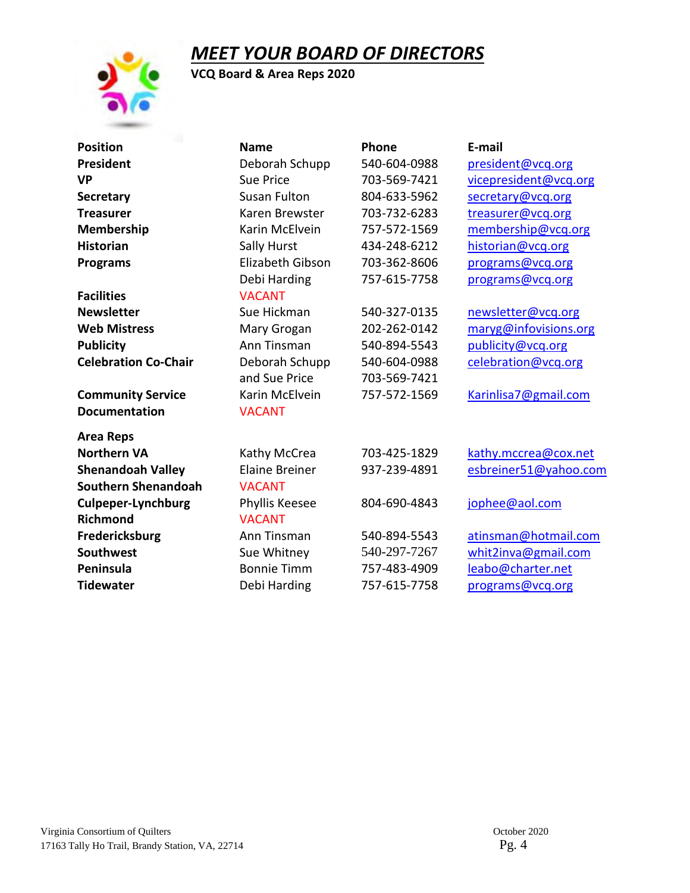## *MEET YOUR BOARD OF DIRECTORS*

**VCQ Board & Area Reps 2020**

| <b>Position</b>             | <b>Name</b>           | Phone        | E-mail                |
|-----------------------------|-----------------------|--------------|-----------------------|
| President                   | Deborah Schupp        | 540-604-0988 | president@vcq.org     |
| VP                          | <b>Sue Price</b>      | 703-569-7421 | vicepresident@vcq.org |
| <b>Secretary</b>            | Susan Fulton          | 804-633-5962 | secretary@vcq.org     |
| <b>Treasurer</b>            | Karen Brewster        | 703-732-6283 | treasurer@vcq.org     |
| <b>Membership</b>           | Karin McElvein        | 757-572-1569 | membership@vcq.org    |
| <b>Historian</b>            | Sally Hurst           | 434-248-6212 | historian@vcq.org     |
| <b>Programs</b>             | Elizabeth Gibson      | 703-362-8606 | programs@vcq.org      |
|                             | Debi Harding          | 757-615-7758 | programs@vcq.org      |
| <b>Facilities</b>           | <b>VACANT</b>         |              |                       |
| <b>Newsletter</b>           | Sue Hickman           | 540-327-0135 | newsletter@vcq.org    |
| <b>Web Mistress</b>         | Mary Grogan           | 202-262-0142 | maryg@infovisions.org |
| <b>Publicity</b>            | Ann Tinsman           | 540-894-5543 | publicity@vcq.org     |
| <b>Celebration Co-Chair</b> | Deborah Schupp        | 540-604-0988 | celebration@vcq.org   |
|                             | and Sue Price         | 703-569-7421 |                       |
| <b>Community Service</b>    | Karin McElvein        | 757-572-1569 | Karinlisa7@gmail.com  |
| <b>Documentation</b>        | <b>VACANT</b>         |              |                       |
| Area Reps                   |                       |              |                       |
| <b>Northern VA</b>          | Kathy McCrea          | 703-425-1829 | kathy.mccrea@cox.net  |
| <b>Shenandoah Valley</b>    | <b>Elaine Breiner</b> | 937-239-4891 | esbreiner51@yahoo.com |
| Southern Shenandoah         | <b>VACANT</b>         |              |                       |
| <b>Culpeper-Lynchburg</b>   | Phyllis Keesee        | 804-690-4843 | jophee@aol.com        |
| <b>Richmond</b>             | <b>VACANT</b>         |              |                       |
| Fredericksburg              | Ann Tinsman           | 540-894-5543 | atinsman@hotmail.com  |
| <b>Southwest</b>            | Sue Whitney           | 540-297-7267 | whit2inva@gmail.com   |
| Peninsula                   | <b>Bonnie Timm</b>    | 757-483-4909 | leabo@charter.net     |
| <b>Tidewater</b>            | Debi Harding          | 757-615-7758 | programs@vcq.org      |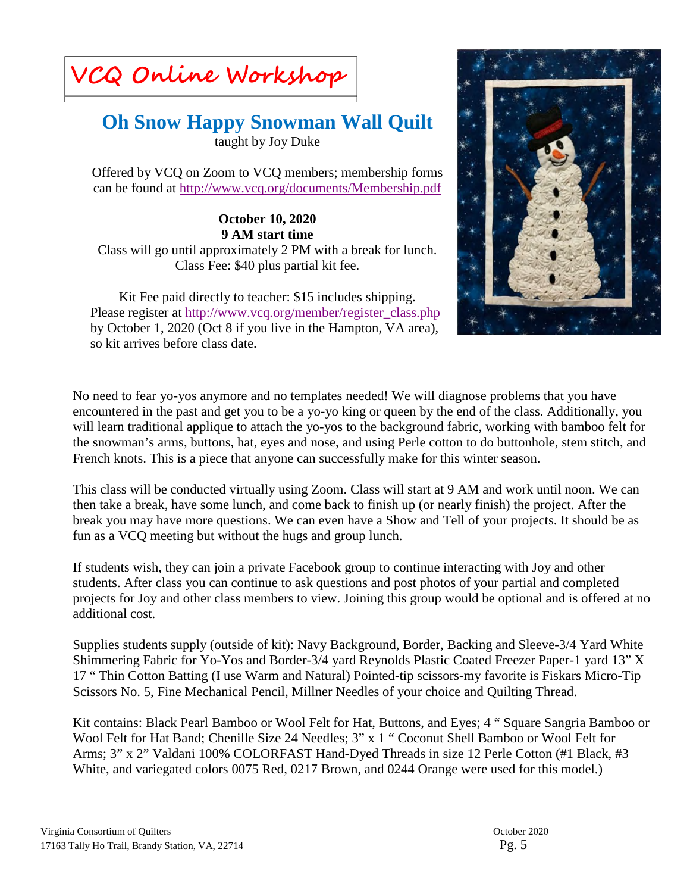**VCQ Online Workshop**

# **Oh Snow Happy Snowman Wall Quilt**

taught by Joy Duke

Offered by VCQ on Zoom to VCQ members; membership forms can be found at<http://www.vcq.org/documents/Membership.pdf>

**October 10, 2020 9 AM start time** Class will go until approximately 2 PM with a break for lunch. Class Fee: \$40 plus partial kit fee.

Kit Fee paid directly to teacher: \$15 includes shipping. Please register at [http://www.vcq.org/member/register\\_class.php](http://www.vcq.org/member/register_class.php) by October 1, 2020 (Oct 8 if you live in the Hampton, VA area), so kit arrives before class date.



No need to fear yo-yos anymore and no templates needed! We will diagnose problems that you have encountered in the past and get you to be a yo-yo king or queen by the end of the class. Additionally, you will learn traditional applique to attach the yo-yos to the background fabric, working with bamboo felt for the snowman's arms, buttons, hat, eyes and nose, and using Perle cotton to do buttonhole, stem stitch, and French knots. This is a piece that anyone can successfully make for this winter season.

This class will be conducted virtually using Zoom. Class will start at 9 AM and work until noon. We can then take a break, have some lunch, and come back to finish up (or nearly finish) the project. After the break you may have more questions. We can even have a Show and Tell of your projects. It should be as fun as a VCQ meeting but without the hugs and group lunch.

If students wish, they can join a private Facebook group to continue interacting with Joy and other students. After class you can continue to ask questions and post photos of your partial and completed projects for Joy and other class members to view. Joining this group would be optional and is offered at no additional cost.

Supplies students supply (outside of kit): Navy Background, Border, Backing and Sleeve-3/4 Yard White Shimmering Fabric for Yo-Yos and Border-3/4 yard Reynolds Plastic Coated Freezer Paper-1 yard 13" X 17 " Thin Cotton Batting (I use Warm and Natural) Pointed-tip scissors-my favorite is Fiskars Micro-Tip Scissors No. 5, Fine Mechanical Pencil, Millner Needles of your choice and Quilting Thread.

Kit contains: Black Pearl Bamboo or Wool Felt for Hat, Buttons, and Eyes; 4 " Square Sangria Bamboo or Wool Felt for Hat Band; Chenille Size 24 Needles; 3" x 1 " Coconut Shell Bamboo or Wool Felt for Arms; 3" x 2" Valdani 100% COLORFAST Hand-Dyed Threads in size 12 Perle Cotton (#1 Black, #3 White, and variegated colors 0075 Red, 0217 Brown, and 0244 Orange were used for this model.)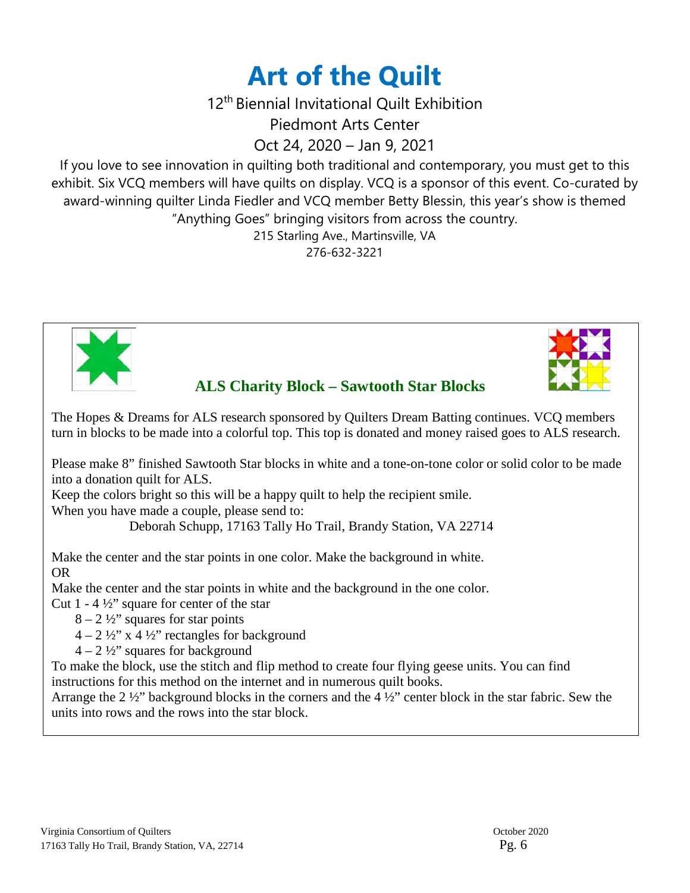# **Art of the Quilt**

12th Biennial Invitational Quilt Exhibition

Piedmont Arts Center

Oct 24, 2020 – Jan 9, 2021

If you love to see innovation in quilting both traditional and contemporary, you must get to this exhibit. Six VCQ members will have quilts on display. VCQ is a sponsor of this event. Co-curated by award-winning quilter Linda Fiedler and VCQ member Betty Blessin, this year's show is themed "Anything Goes" bringing visitors from across the country.

215 Starling Ave., Martinsville, VA

276-632-3221





 **ALS Charity Block – Sawtooth Star Blocks** 

The Hopes & Dreams for ALS research sponsored by Quilters Dream Batting continues. VCQ members turn in blocks to be made into a colorful top. This top is donated and money raised goes to ALS research.

Please make 8" finished Sawtooth Star blocks in white and a tone-on-tone color or solid color to be made into a donation quilt for ALS.

Keep the colors bright so this will be a happy quilt to help the recipient smile.

When you have made a couple, please send to:

Deborah Schupp, 17163 Tally Ho Trail, Brandy Station, VA 22714

Make the center and the star points in one color. Make the background in white. OR

Make the center and the star points in white and the background in the one color.

Cut  $1 - 4\frac{1}{2}$  square for center of the star

- $8 2\frac{1}{2}$ " squares for star points
- $4 2 \frac{1}{2}$ " x 4 ½" rectangles for background
- $4 2\frac{1}{2}$ " squares for background

To make the block, use the stitch and flip method to create four flying geese units. You can find instructions for this method on the internet and in numerous quilt books.

Arrange the 2 ½" background blocks in the corners and the 4 ½" center block in the star fabric. Sew the units into rows and the rows into the star block.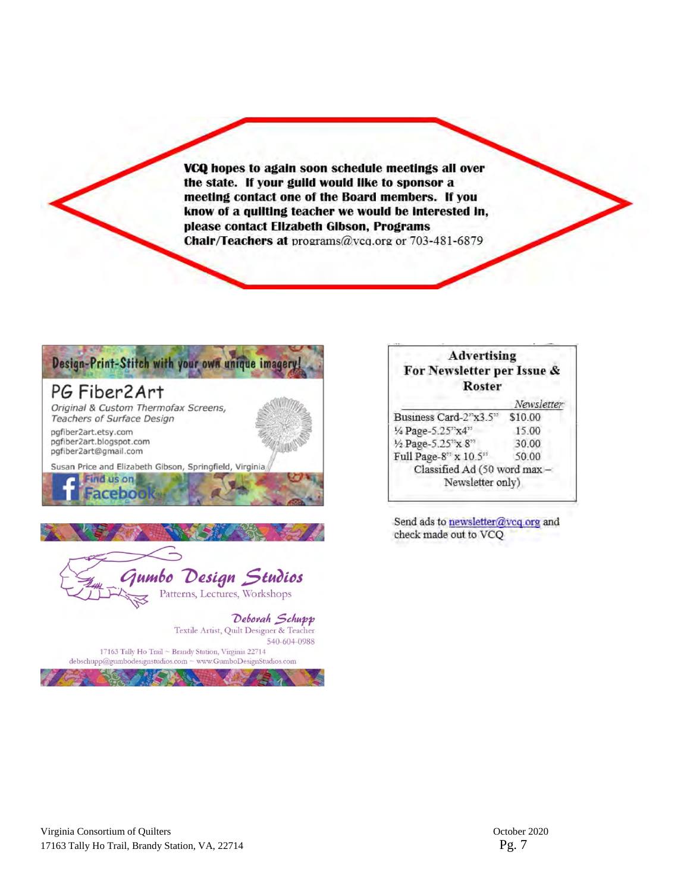VCQ hopes to again soon schedule meetings all over the state. If your guild would like to sponsor a meeting contact one of the Board members. If you know of a quilting teacher we would be interested in, please contact Elizabeth Gibson, Programs Chair/Teachers at programs@vcq.org or 703-481-6879



| <b>Advertising</b><br>For Newsletter per Issue &<br><b>Roster</b> |            |
|-------------------------------------------------------------------|------------|
|                                                                   | Newsletter |
| Business Card-2"x3.5"                                             | \$10.00    |
| 1/4 Page-5.25"x4"                                                 | 15.00      |
| 1/2 Page-5.25"x 8"                                                | 30.00      |
| Full Page-8" x 10.5"                                              | 50.00      |
| Classified Ad (50 word max-                                       |            |
| Newsletter only)                                                  |            |

Send ads to newsletter@vcq.org and check made out to VCQ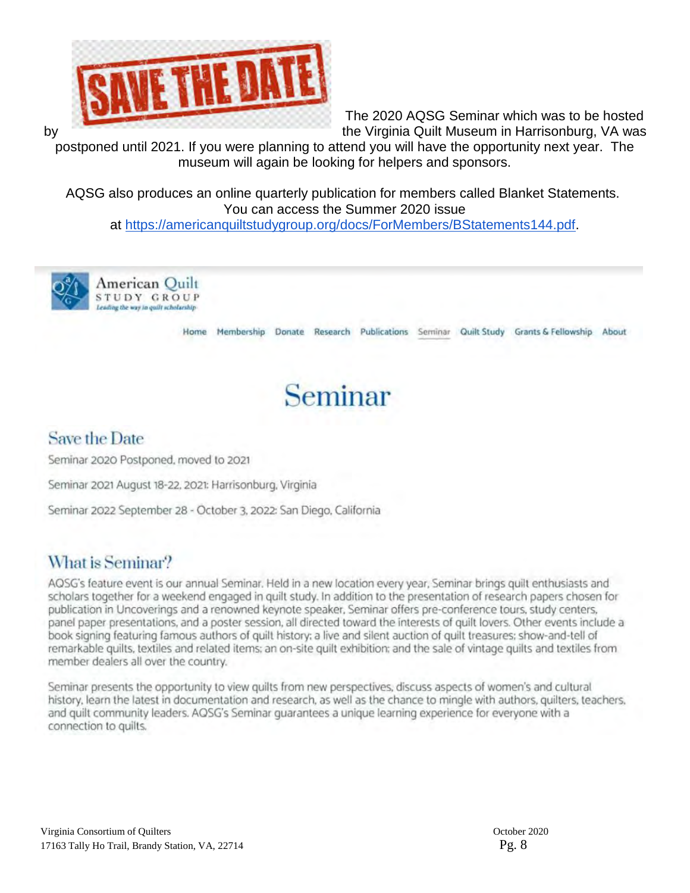

The 2020 AQSG Seminar which was to be hosted by the Virginia Quilt Museum in Harrisonburg, VA was the Virginia Quilt Museum in Harrisonburg, VA was

postponed until 2021. If you were planning to attend you will have the opportunity next year. The museum will again be looking for helpers and sponsors.

AQSG also produces an online quarterly publication for members called Blanket Statements. You can access the Summer 2020 issue at [https://americanquiltstudygroup.org/docs/ForMembers/BStatements144.pdf.](https://americanquiltstudygroup.org/docs/ForMembers/BStatements144.pdf)



Imerican Quilt STUDY GROUP Leading the way in quilt scholarship

Home Membership Donate Research Publications Seminar Quilt Study Grants & Fellowship About



### **Save the Date**

Seminar 2020 Postponed, moved to 2021

Seminar 2021 August 18-22, 2021: Harrisonburg, Virginia

Seminar 2022 September 28 - October 3, 2022: San Diego, California

### What is Seminar?

AQSG's feature event is our annual Seminar. Held in a new location every year, Seminar brings quilt enthusiasts and scholars together for a weekend engaged in quilt study. In addition to the presentation of research papers chosen for publication in Uncoverings and a renowned keynote speaker, Seminar offers pre-conference tours, study centers, panel paper presentations, and a poster session, all directed toward the interests of quilt lovers. Other events include a book signing featuring famous authors of quilt history; a live and silent auction of quilt treasures; show-and-tell of remarkable quilts, textiles and related items; an on-site quilt exhibition; and the sale of vintage quilts and textiles from member dealers all over the country.

Seminar presents the opportunity to view quilts from new perspectives, discuss aspects of women's and cultural history, learn the latest in documentation and research, as well as the chance to mingle with authors, quilters, teachers. and quilt community leaders. AQSG's Seminar guarantees a unique learning experience for everyone with a connection to quilts.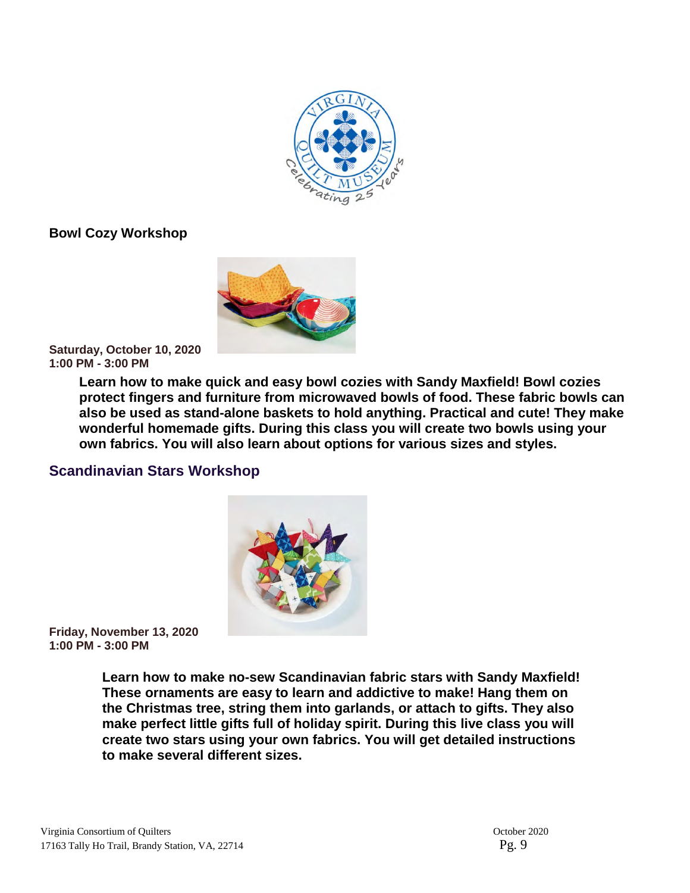

**Bowl Cozy Workshop** 



**Saturday, October 10, 2020 1:00 PM - 3:00 PM**

> **Learn how to make quick and easy bowl cozies with Sandy Maxfield! Bowl cozies protect fingers and furniture from microwaved bowls of food. These fabric bowls can also be used as stand-alone baskets to hold anything. Practical and cute! They make wonderful homemade gifts. During this class you will create two bowls using your own fabrics. You will also learn about options for various sizes and styles.**

### **Scandinavian Stars Workshop**



**Friday, November 13, 2020 1:00 PM - 3:00 PM**

> **Learn how to make no-sew Scandinavian fabric stars with Sandy Maxfield! These ornaments are easy to learn and addictive to make! Hang them on the Christmas tree, string them into garlands, or attach to gifts. They also make perfect little gifts full of holiday spirit. During this live class you will create two stars using your own fabrics. You will get detailed instructions to make several different sizes.**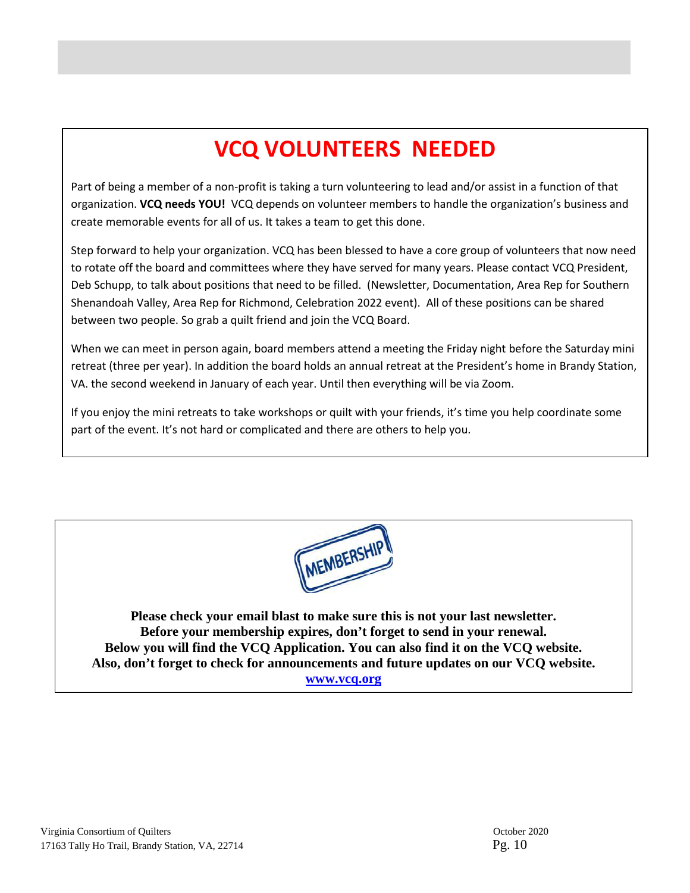# **VCQ VOLUNTEERS NEEDED**

Part of being a member of a non-profit is taking a turn volunteering to lead and/or assist in a function of that organization. **VCQ needs YOU!** VCQ depends on volunteer members to handle the organization's business and create memorable events for all of us. It takes a team to get this done.

Step forward to help your organization. VCQ has been blessed to have a core group of volunteers that now need to rotate off the board and committees where they have served for many years. Please contact VCQ President, Deb Schupp, to talk about positions that need to be filled. (Newsletter, Documentation, Area Rep for Southern Shenandoah Valley, Area Rep for Richmond, Celebration 2022 event). All of these positions can be shared between two people. So grab a quilt friend and join the VCQ Board.

When we can meet in person again, board members attend a meeting the Friday night before the Saturday mini retreat (three per year). In addition the board holds an annual retreat at the President's home in Brandy Station, VA. the second weekend in January of each year. Until then everything will be via Zoom.

If you enjoy the mini retreats to take workshops or quilt with your friends, it's time you help coordinate some part of the event. It's not hard or complicated and there are others to help you.



**Please check your email blast to make sure this is not your last newsletter. Before your membership expires, don't forget to send in your renewal. Below you will find the VCQ Application. You can also find it on the VCQ website. Also, don't forget to check for announcements and future updates on our VCQ website. [www.vcq.org](http://www.vcq.org/)**

j